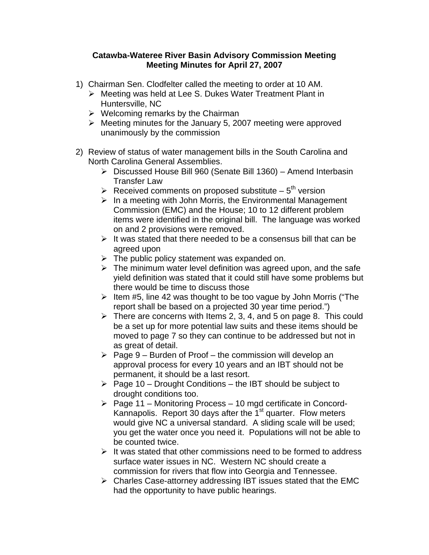## **Catawba-Wateree River Basin Advisory Commission Meeting Meeting Minutes for April 27, 2007**

- 1) Chairman Sen. Clodfelter called the meeting to order at 10 AM.
	- ¾ Meeting was held at Lee S. Dukes Water Treatment Plant in Huntersville, NC
	- $\triangleright$  Welcoming remarks by the Chairman
	- $\triangleright$  Meeting minutes for the January 5, 2007 meeting were approved unanimously by the commission
- 2) Review of status of water management bills in the South Carolina and North Carolina General Assemblies.
	- ¾ Discussed House Bill 960 (Senate Bill 1360) Amend Interbasin Transfer Law
	- Exerceived comments on proposed substitute  $5<sup>th</sup>$  version
	- $\triangleright$  In a meeting with John Morris, the Environmental Management Commission (EMC) and the House; 10 to 12 different problem items were identified in the original bill. The language was worked on and 2 provisions were removed.
	- $\triangleright$  It was stated that there needed to be a consensus bill that can be agreed upon
	- $\triangleright$  The public policy statement was expanded on.
	- $\triangleright$  The minimum water level definition was agreed upon, and the safe yield definition was stated that it could still have some problems but there would be time to discuss those
	- $\geq$  Item #5, line 42 was thought to be too vague by John Morris ("The report shall be based on a projected 30 year time period.")
	- $\triangleright$  There are concerns with Items 2, 3, 4, and 5 on page 8. This could be a set up for more potential law suits and these items should be moved to page 7 so they can continue to be addressed but not in as great of detail.
	- $\triangleright$  Page 9 Burden of Proof the commission will develop an approval process for every 10 years and an IBT should not be permanent, it should be a last resort.
	- $\triangleright$  Page 10 Drought Conditions the IBT should be subject to drought conditions too.
	- $\triangleright$  Page 11 Monitoring Process 10 mgd certificate in Concord-Kannapolis. Report 30 days after the  $1<sup>st</sup>$  quarter. Flow meters would give NC a universal standard. A sliding scale will be used; you get the water once you need it. Populations will not be able to be counted twice.
	- $\triangleright$  It was stated that other commissions need to be formed to address surface water issues in NC. Western NC should create a commission for rivers that flow into Georgia and Tennessee.
	- $\triangleright$  Charles Case-attorney addressing IBT issues stated that the EMC had the opportunity to have public hearings.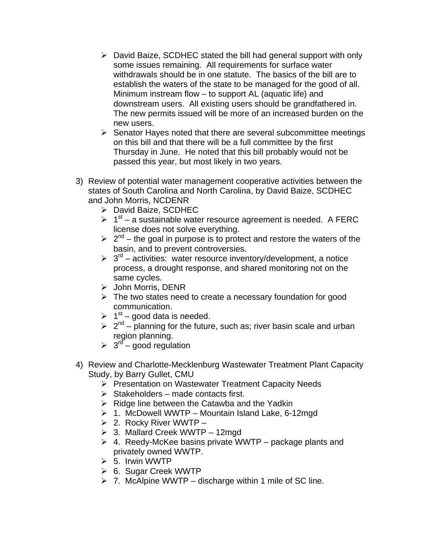- $\triangleright$  David Baize, SCDHEC stated the bill had general support with only some issues remaining. All requirements for surface water withdrawals should be in one statute. The basics of the bill are to establish the waters of the state to be managed for the good of all. Minimum instream flow – to support AL (aquatic life) and downstream users. All existing users should be grandfathered in. The new permits issued will be more of an increased burden on the new users.
- $\triangleright$  Senator Hayes noted that there are several subcommittee meetings on this bill and that there will be a full committee by the first Thursday in June. He noted that this bill probably would not be passed this year, but most likely in two years.
- 3) Review of potential water management cooperative activities between the states of South Carolina and North Carolina, by David Baize, SCDHEC and John Morris, NCDENR
	- ¾ David Baize, SCDHEC
	- $\geq 1<sup>st</sup>$  a sustainable water resource agreement is needed. A FERC license does not solve everything.
	- $\geq 2^{nd}$  the goal in purpose is to protect and restore the waters of the basin, and to prevent controversies.
	- $\geq 3^{rd}$  activities: water resource inventory/development, a notice process, a drought response, and shared monitoring not on the same cycles.
	- ¾ John Morris, DENR
	- $\triangleright$  The two states need to create a necessary foundation for good communication.
	- $\geq 1^{st}$  good data is needed.
	- $\geq 2^{nd}$  planning for the future, such as; river basin scale and urban region planning.
	- $\geq 3^{rd}$  good regulation
- 4) Review and Charlotte-Mecklenburg Wastewater Treatment Plant Capacity Study, by Barry Gullet, CMU
	- ¾ Presentation on Wastewater Treatment Capacity Needs
	- $\triangleright$  Stakeholders made contacts first.
	- $\triangleright$  Ridge line between the Catawba and the Yadkin
	- $\geq 1$ . McDowell WWTP Mountain Island Lake, 6-12mgd
	- $\geq$  2. Rocky River WWTP –
	- $\geq$  3. Mallard Creek WWTP 12mgd
	- $\geq 4$ . Reedy-McKee basins private WWTP package plants and privately owned WWTP.
	- $\triangleright$  5. Irwin WWTP
	- ¾ 6. Sugar Creek WWTP
	- $\triangleright$  7. McAlpine WWTP discharge within 1 mile of SC line.